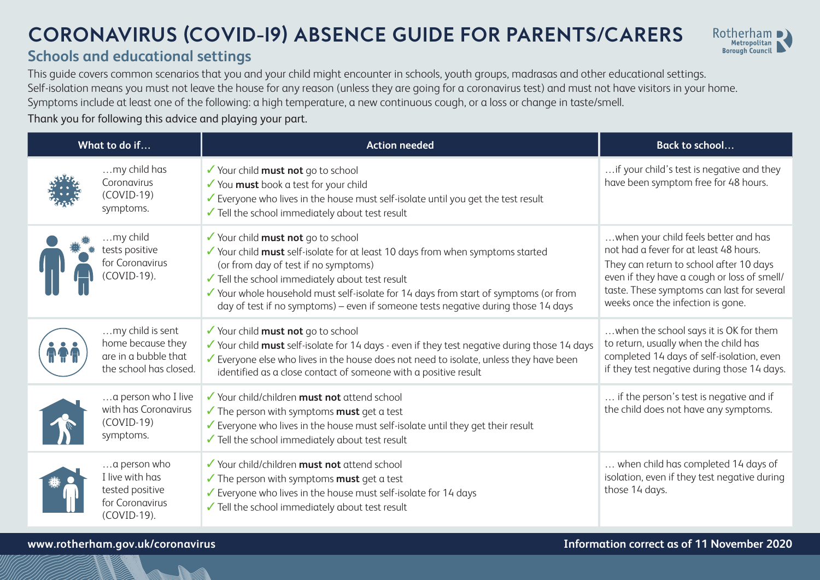## **CORONAVIRUS (COVID-19) ABSENCE GUIDE FOR PARENTS/CARERS**



## **Schools and educational settings**

This guide covers common scenarios that you and your child might encounter in schools, youth groups, madrasas and other educational settings. Self-isolation means you must not leave the house for any reason (unless they are going for a coronavirus test) and must not have visitors in your home. Symptoms include at least one of the following: a high temperature, a new continuous cough, or a loss or change in taste/smell.

Thank you for following this advice and playing your part.

| What to do if |                                                                                         | <b>Action needed</b>                                                                                                                                                                                                                                                                                                                                                                         | <b>Back to school</b>                                                                                                                                                                                                                                       |
|---------------|-----------------------------------------------------------------------------------------|----------------------------------------------------------------------------------------------------------------------------------------------------------------------------------------------------------------------------------------------------------------------------------------------------------------------------------------------------------------------------------------------|-------------------------------------------------------------------------------------------------------------------------------------------------------------------------------------------------------------------------------------------------------------|
|               | my child has<br>Coronavirus<br>$(COVID-19)$<br>symptoms.                                | ✔ Your child must not go to school<br>✔ You must book a test for your child<br>Everyone who lives in the house must self-isolate until you get the test result<br>Tell the school immediately about test result                                                                                                                                                                              | if your child's test is negative and they<br>have been symptom free for 48 hours.                                                                                                                                                                           |
|               | my child<br>tests positive<br>for Coronavirus<br>COVID-19).                             | ✔ Your child must not go to school<br>✔ Your child must self-isolate for at least 10 days from when symptoms started<br>(or from day of test if no symptoms)<br>✔ Tell the school immediately about test result<br>✔ Your whole household must self-isolate for 14 days from start of symptoms (or from<br>day of test if no symptoms) - even if someone tests negative during those 14 days | when your child feels better and has<br>not had a fever for at least 48 hours.<br>They can return to school after 10 days<br>even if they have a cough or loss of smell/<br>taste. These symptoms can last for several<br>weeks once the infection is gone. |
|               | my child is sent<br>home because they<br>are in a bubble that<br>the school has closed. | ✔ Your child must not go to school<br>√ Your child must self-isolate for 14 days - even if they test negative during those 14 days<br>Everyone else who lives in the house does not need to isolate, unless they have been<br>identified as a close contact of someone with a positive result                                                                                                | when the school says it is OK for them<br>to return, usually when the child has<br>completed 14 days of self-isolation, even<br>if they test negative during those 14 days.                                                                                 |
|               | a person who I live<br>with has Coronavirus<br>$(COVID-19)$<br>symptoms.                | ✔ Your child/children must not attend school<br>$\checkmark$ The person with symptoms <b>must</b> get a test<br>Everyone who lives in the house must self-isolate until they get their result<br>Tell the school immediately about test result                                                                                                                                               | if the person's test is negative and if<br>the child does not have any symptoms.                                                                                                                                                                            |
|               | a person who<br>I live with has<br>tested positive<br>for Coronavirus<br>(COVID-19).    | ✔ Your child/children must not attend school<br>$\checkmark$ The person with symptoms <b>must</b> get a test<br>Everyone who lives in the house must self-isolate for 14 days<br>Tell the school immediately about test result                                                                                                                                                               | when child has completed 14 days of<br>isolation, even if they test negative during<br>those 14 days.                                                                                                                                                       |